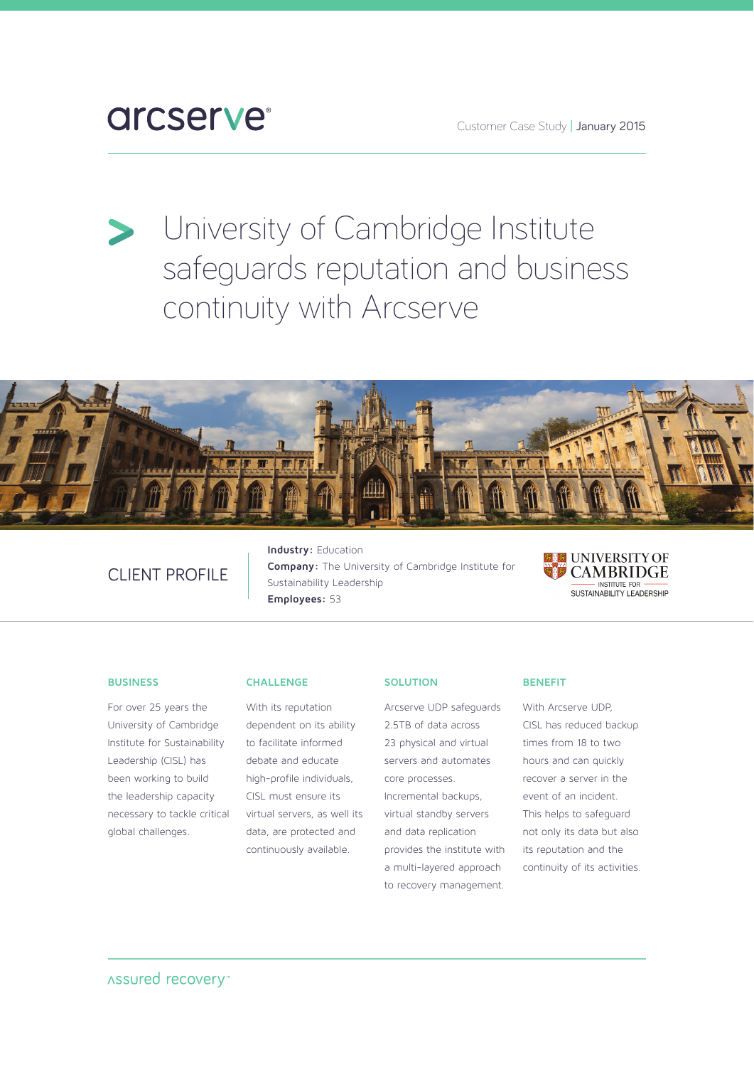Customer Case Study | January 2015

# **arcserve**

University of Cambridge Institute safeguards reputation and business continuity with Arcserve



# CLIENT PROFILE

**Industry:** Education **Company:** The University of Cambridge Institute for Sustainability Leadership **Employees:** 53



#### **BUSINESS**

For over 25 years the University of Cambridge Institute for Sustainability Leadership (CISL) has been working to build the leadership capacity necessary to tackle critical global challenges.

#### **CHALLENGE**

With its reputation dependent on its ability to facilitate informed debate and educate high-profile individuals, CISL must ensure its virtual servers, as well its data, are protected and continuously available.

#### **SOLUTION**

Arcserve UDP safeguards 2.5TB of data across 23 physical and virtual servers and automates core processes. Incremental backups,

virtual standby servers and data replication provides the institute with a multi-layered approach to recovery management.

#### **BENEFIT**

With Arcserve UDP, CISL has reduced backup times from 18 to two hours and can quickly recover a server in the event of an incident. This helps to safeguard not only its data but also its reputation and the continuity of its activities.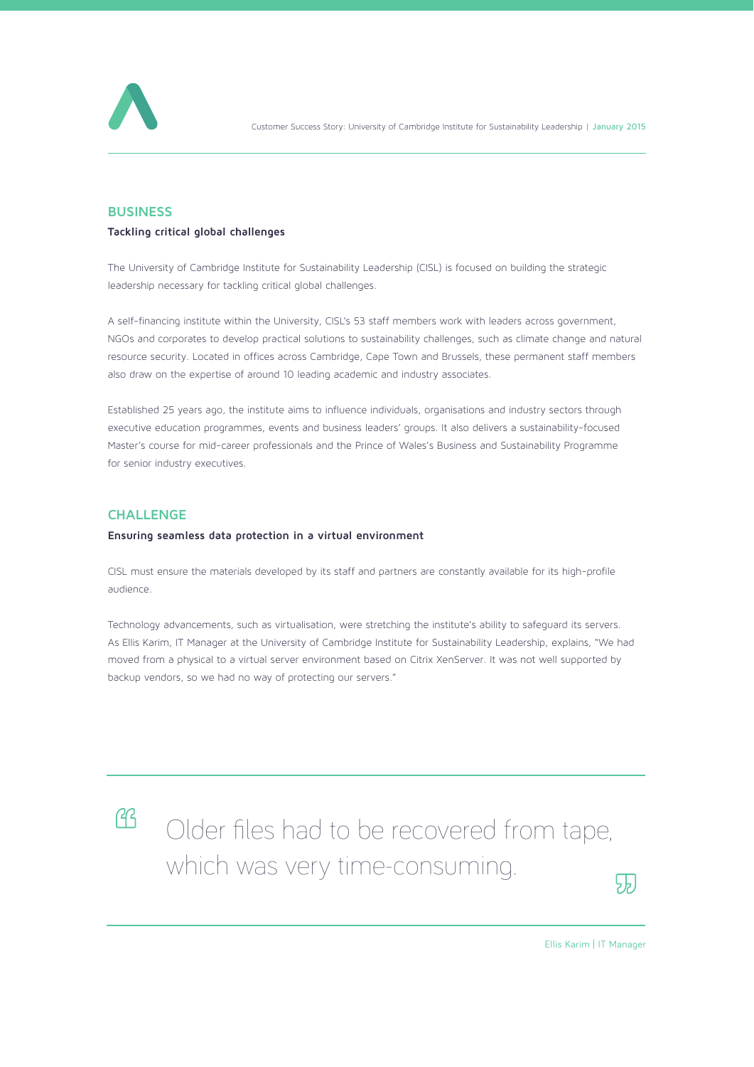

Customer Success Story: University of Cambridge Institute for Sustainability Leadership | January 2015

## **BUSINESS**

#### **Tackling critical global challenges**

The University of Cambridge Institute for Sustainability Leadership (CISL) is focused on building the strategic leadership necessary for tackling critical global challenges.

A self-financing institute within the University, CISL's 53 staff members work with leaders across government, NGOs and corporates to develop practical solutions to sustainability challenges, such as climate change and natural resource security. Located in offices across Cambridge, Cape Town and Brussels, these permanent staff members also draw on the expertise of around 10 leading academic and industry associates.

Established 25 years ago, the institute aims to influence individuals, organisations and industry sectors through executive education programmes, events and business leaders' groups. It also delivers a sustainability-focused Master's course for mid-career professionals and the Prince of Wales's Business and Sustainability Programme for senior industry executives.

#### **CHALLENGE**

#### **Ensuring seamless data protection in a virtual environment**

CISL must ensure the materials developed by its staff and partners are constantly available for its high-profile audience.

Technology advancements, such as virtualisation, were stretching the institute's ability to safeguard its servers. As Ellis Karim, IT Manager at the University of Cambridge Institute for Sustainability Leadership, explains, "We had moved from a physical to a virtual server environment based on Citrix XenServer. It was not well supported by backup vendors, so we had no way of protecting our servers."



Clder files had to be recovered from tape, which was very time-consuming.



Ellis Karim | IT Manager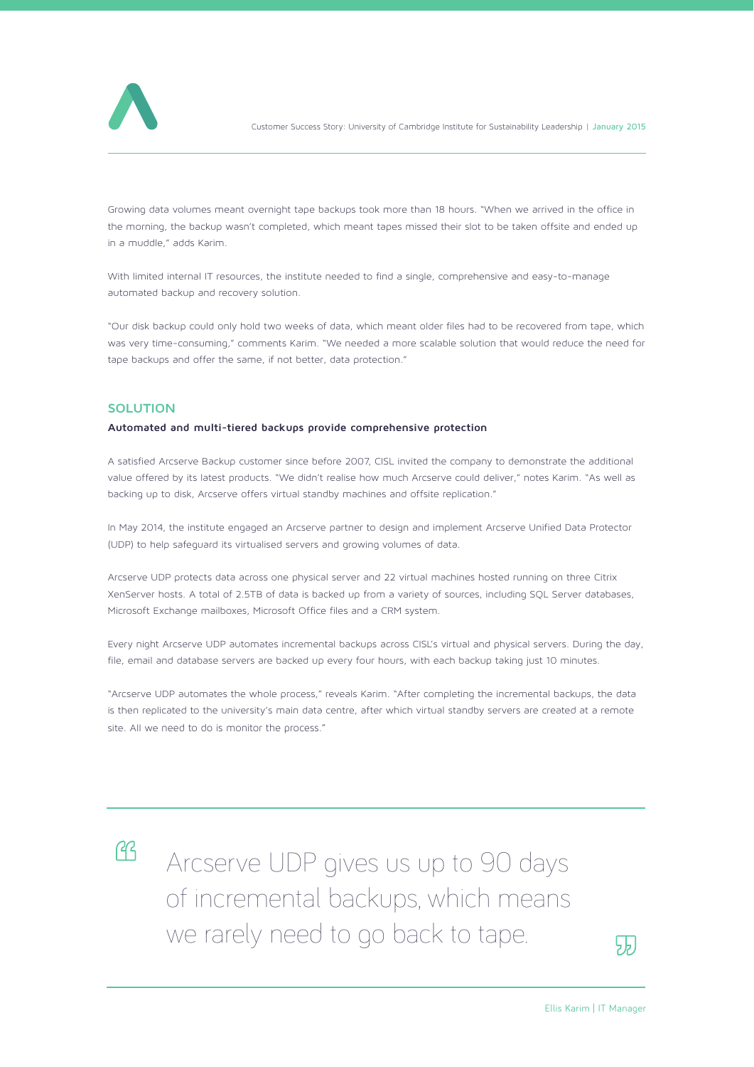

Customer Success Story: University of Cambridge Institute for Sustainability Leadership | January 2015

Growing data volumes meant overnight tape backups took more than 18 hours. "When we arrived in the office in the morning, the backup wasn't completed, which meant tapes missed their slot to be taken offsite and ended up in a muddle," adds Karim.

With limited internal IT resources, the institute needed to find a single, comprehensive and easy-to-manage automated backup and recovery solution.

"Our disk backup could only hold two weeks of data, which meant older files had to be recovered from tape, which was very time-consuming," comments Karim. "We needed a more scalable solution that would reduce the need for tape backups and offer the same, if not better, data protection."

#### **SOLUTION**

#### **Automated and multi-tiered backups provide comprehensive protection**

A satisfied Arcserve Backup customer since before 2007, CISL invited the company to demonstrate the additional value offered by its latest products. "We didn't realise how much Arcserve could deliver," notes Karim. "As well as backing up to disk, Arcserve offers virtual standby machines and offsite replication."

In May 2014, the institute engaged an Arcserve partner to design and implement Arcserve Unified Data Protector (UDP) to help safeguard its virtualised servers and growing volumes of data.

Arcserve UDP protects data across one physical server and 22 virtual machines hosted running on three Citrix XenServer hosts. A total of 2.5TB of data is backed up from a variety of sources, including SQL Server databases, Microsoft Exchange mailboxes, Microsoft Office files and a CRM system.

Every night Arcserve UDP automates incremental backups across CISL's virtual and physical servers. During the day, file, email and database servers are backed up every four hours, with each backup taking just 10 minutes.

"Arcserve UDP automates the whole process," reveals Karim. "After completing the incremental backups, the data is then replicated to the university's main data centre, after which virtual standby servers are created at a remote site. All we need to do is monitor the process."



Arcserve UDP gives us up to 90 days of incremental backups, which means we rarely need to go back to tape.